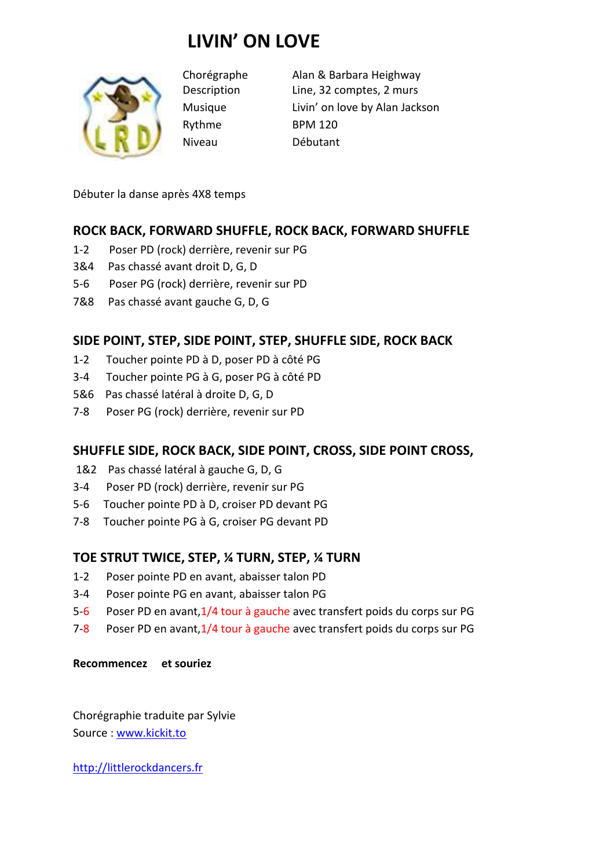# **LIVIN' ON LOVE**



Rythme BPM 120 Niveau Débutant

Chorégraphe Alan & Barbara Heighway Description Line, 32 comptes, 2 murs Musique Livin' on love by Alan Jackson

Débuter la danse après 4X8 temps

# **ROCK BACK, FORWARD SHUFFLE, ROCK BACK, FORWARD SHUFFLE**

- 1-2 Poser PD (rock) derrière, revenir sur PG
- 3&4 Pas chassé avant droit D, G, D
- 5-6 Poser PG (rock) derrière, revenir sur PD
- 7&8 Pas chassé avant gauche G, D, G

# **SIDE POINT, STEP, SIDE POINT, STEP, SHUFFLE SIDE, ROCK BACK**

- 1-2 Toucher pointe PD à D, poser PD à côté PG
- 3-4 Toucher pointe PG à G, poser PG à côté PD
- 5&6 Pas chassé latéral à droite D, G, D
- 7-8 Poser PG (rock) derrière, revenir sur PD

## **SHUFFLE SIDE, ROCK BACK, SIDE POINT, CROSS, SIDE POINT CROSS,**

- 1&2 Pas chassé latéral à gauche G, D, G
- 3-4 Poser PD (rock) derrière, revenir sur PG
- 5-6 Toucher pointe PD à D, croiser PD devant PG
- 7-8 Toucher pointe PG à G, croiser PG devant PD

## **TOE STRUT TWICE, STEP, ¼ TURN, STEP, ¼ TURN**

- 1-2 Poser pointe PD en avant, abaisser talon PD
- 3-4 Poser pointe PG en avant, abaisser talon PG
- 5-6 Poser PD en avant,1/4 tour à gauche avec transfert poids du corps sur PG
- 7-8 Poser PD en avant,1/4 tour à gauche avec transfert poids du corps sur PG

#### **Recommencez et souriez**

Chorégraphie traduite par Sylvie Source : www.kickit.to

http://littlerockdancers.fr